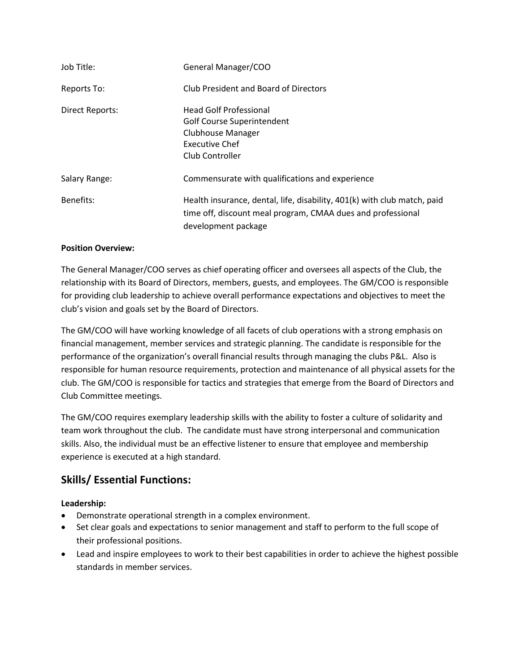| Job Title:             | General Manager/COO                                                                                                                                            |
|------------------------|----------------------------------------------------------------------------------------------------------------------------------------------------------------|
| Reports To:            | Club President and Board of Directors                                                                                                                          |
| <b>Direct Reports:</b> | <b>Head Golf Professional</b><br><b>Golf Course Superintendent</b><br><b>Clubhouse Manager</b><br><b>Executive Chef</b><br>Club Controller                     |
| Salary Range:          | Commensurate with qualifications and experience                                                                                                                |
| Benefits:              | Health insurance, dental, life, disability, 401(k) with club match, paid<br>time off, discount meal program, CMAA dues and professional<br>development package |

## **Position Overview:**

The General Manager/COO serves as chief operating officer and oversees all aspects of the Club, the relationship with its Board of Directors, members, guests, and employees. The GM/COO is responsible for providing club leadership to achieve overall performance expectations and objectives to meet the club's vision and goals set by the Board of Directors.

The GM/COO will have working knowledge of all facets of club operations with a strong emphasis on financial management, member services and strategic planning. The candidate is responsible for the performance of the organization's overall financial results through managing the clubs P&L. Also is responsible for human resource requirements, protection and maintenance of all physical assets for the club. The GM/COO is responsible for tactics and strategies that emerge from the Board of Directors and Club Committee meetings.

The GM/COO requires exemplary leadership skills with the ability to foster a culture of solidarity and team work throughout the club. The candidate must have strong interpersonal and communication skills. Also, the individual must be an effective listener to ensure that employee and membership experience is executed at a high standard.

# **Skills/ Essential Functions:**

## **Leadership:**

- Demonstrate operational strength in a complex environment.
- Set clear goals and expectations to senior management and staff to perform to the full scope of their professional positions.
- Lead and inspire employees to work to their best capabilities in order to achieve the highest possible standards in member services.